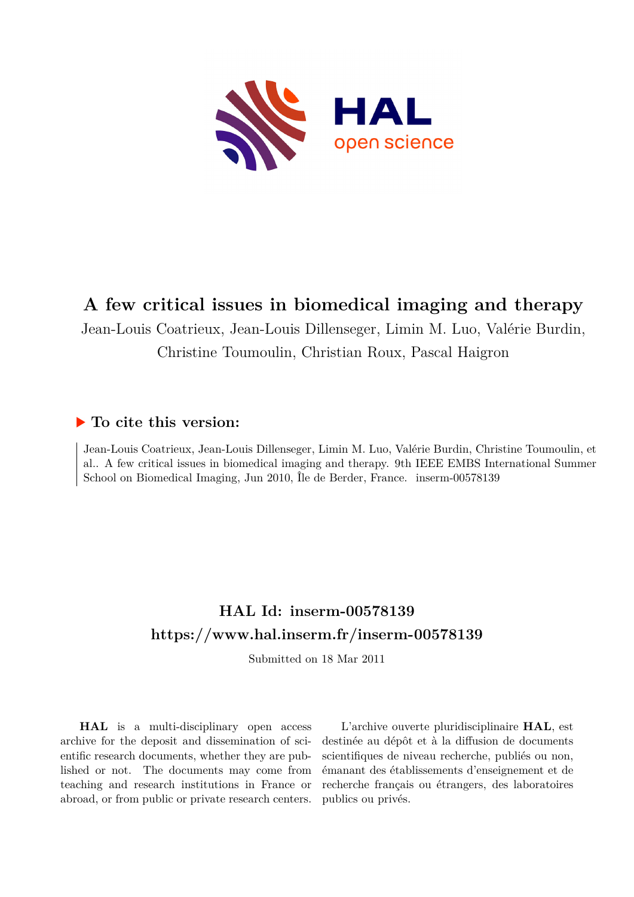

# **A few critical issues in biomedical imaging and therapy**

Jean-Louis Coatrieux, Jean-Louis Dillenseger, Limin M. Luo, Valérie Burdin, Christine Toumoulin, Christian Roux, Pascal Haigron

## **To cite this version:**

Jean-Louis Coatrieux, Jean-Louis Dillenseger, Limin M. Luo, Valérie Burdin, Christine Toumoulin, et al.. A few critical issues in biomedical imaging and therapy. 9th IEEE EMBS International Summer School on Biomedical Imaging, Jun 2010, Île de Berder, France. inserm-00578139

# **HAL Id: inserm-00578139 <https://www.hal.inserm.fr/inserm-00578139>**

Submitted on 18 Mar 2011

**HAL** is a multi-disciplinary open access archive for the deposit and dissemination of scientific research documents, whether they are published or not. The documents may come from teaching and research institutions in France or abroad, or from public or private research centers.

L'archive ouverte pluridisciplinaire **HAL**, est destinée au dépôt et à la diffusion de documents scientifiques de niveau recherche, publiés ou non, émanant des établissements d'enseignement et de recherche français ou étrangers, des laboratoires publics ou privés.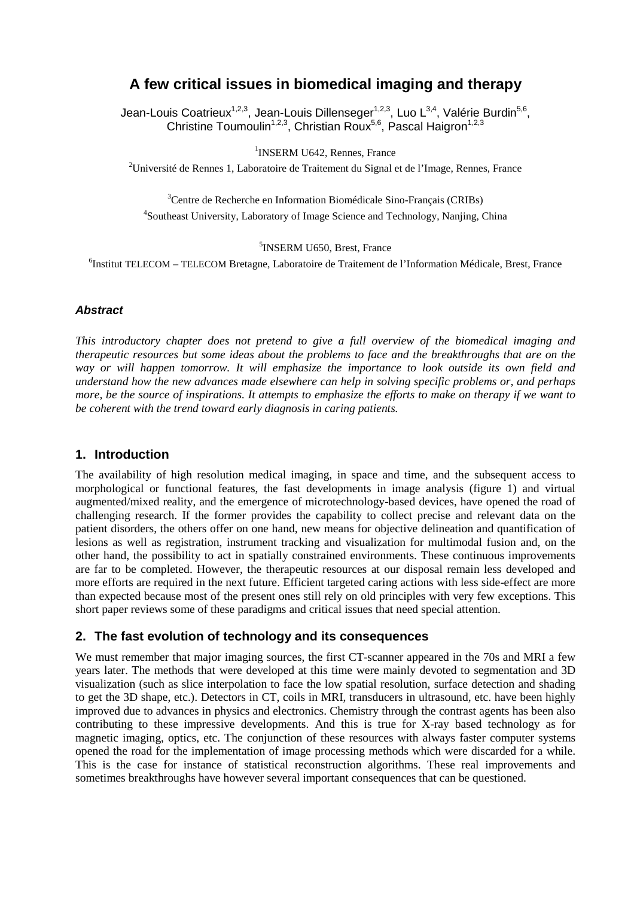# **A few critical issues in biomedical imaging and therapy**

Jean-Louis Coatrieux<sup>1,2,3</sup>, Jean-Louis Dillenseger<sup>1,2,3</sup>, Luo L<sup>3,4</sup>, Valérie Burdin<sup>5,6</sup>, Christine Toumoulin<sup>1,2,3</sup>, Christian Roux<sup>5,6</sup>, Pascal Haigron<sup>1,2,3</sup>

<sup>1</sup>INSERM U642, Rennes, France

<sup>2</sup>Université de Rennes 1, Laboratoire de Traitement du Signal et de l'Image, Rennes, France

<sup>3</sup>Centre de Recherche en Information Biomédicale Sino-Français (CRIBs) 4 Southeast University, Laboratory of Image Science and Technology, Nanjing, China

5 INSERM U650, Brest, France

6 Institut TELECOM – TELECOM Bretagne, Laboratoire de Traitement de l'Information Médicale, Brest, France

#### **Abstract**

*This introductory chapter does not pretend to give a full overview of the biomedical imaging and therapeutic resources but some ideas about the problems to face and the breakthroughs that are on the way or will happen tomorrow. It will emphasize the importance to look outside its own field and understand how the new advances made elsewhere can help in solving specific problems or, and perhaps more, be the source of inspirations. It attempts to emphasize the efforts to make on therapy if we want to be coherent with the trend toward early diagnosis in caring patients.* 

#### **1. Introduction**

The availability of high resolution medical imaging, in space and time, and the subsequent access to morphological or functional features, the fast developments in image analysis (figure 1) and virtual augmented/mixed reality, and the emergence of microtechnology-based devices, have opened the road of challenging research. If the former provides the capability to collect precise and relevant data on the patient disorders, the others offer on one hand, new means for objective delineation and quantification of lesions as well as registration, instrument tracking and visualization for multimodal fusion and, on the other hand, the possibility to act in spatially constrained environments. These continuous improvements are far to be completed. However, the therapeutic resources at our disposal remain less developed and more efforts are required in the next future. Efficient targeted caring actions with less side-effect are more than expected because most of the present ones still rely on old principles with very few exceptions. This short paper reviews some of these paradigms and critical issues that need special attention.

#### **2. The fast evolution of technology and its consequences**

We must remember that major imaging sources, the first CT-scanner appeared in the 70s and MRI a few years later. The methods that were developed at this time were mainly devoted to segmentation and 3D visualization (such as slice interpolation to face the low spatial resolution, surface detection and shading to get the 3D shape, etc.). Detectors in CT, coils in MRI, transducers in ultrasound, etc. have been highly improved due to advances in physics and electronics. Chemistry through the contrast agents has been also contributing to these impressive developments. And this is true for X-ray based technology as for magnetic imaging, optics, etc. The conjunction of these resources with always faster computer systems opened the road for the implementation of image processing methods which were discarded for a while. This is the case for instance of statistical reconstruction algorithms. These real improvements and sometimes breakthroughs have however several important consequences that can be questioned.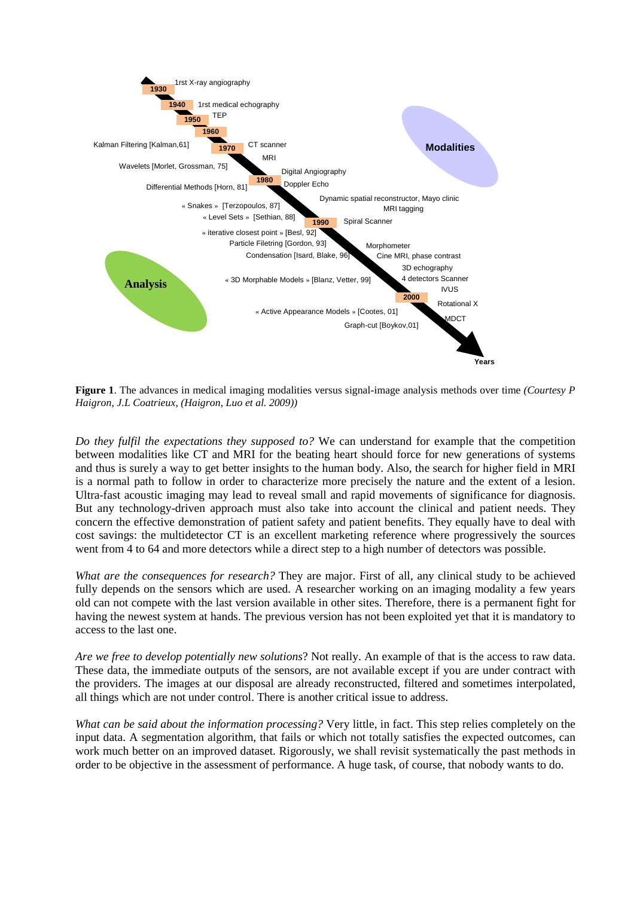

**Figure 1**. The advances in medical imaging modalities versus signal-image analysis methods over time *(Courtesy P Haigron, J.L Coatrieux, (Haigron, Luo et al. 2009))* 

*Do they fulfil the expectations they supposed to?* We can understand for example that the competition between modalities like CT and MRI for the beating heart should force for new generations of systems and thus is surely a way to get better insights to the human body. Also, the search for higher field in MRI is a normal path to follow in order to characterize more precisely the nature and the extent of a lesion. Ultra-fast acoustic imaging may lead to reveal small and rapid movements of significance for diagnosis. But any technology-driven approach must also take into account the clinical and patient needs. They concern the effective demonstration of patient safety and patient benefits. They equally have to deal with cost savings: the multidetector CT is an excellent marketing reference where progressively the sources went from 4 to 64 and more detectors while a direct step to a high number of detectors was possible.

*What are the consequences for research?* They are major. First of all, any clinical study to be achieved fully depends on the sensors which are used. A researcher working on an imaging modality a few years old can not compete with the last version available in other sites. Therefore, there is a permanent fight for having the newest system at hands. The previous version has not been exploited yet that it is mandatory to access to the last one.

*Are we free to develop potentially new solutions*? Not really. An example of that is the access to raw data. These data, the immediate outputs of the sensors, are not available except if you are under contract with the providers. The images at our disposal are already reconstructed, filtered and sometimes interpolated, all things which are not under control. There is another critical issue to address.

*What can be said about the information processing?* Very little, in fact. This step relies completely on the input data. A segmentation algorithm, that fails or which not totally satisfies the expected outcomes, can work much better on an improved dataset. Rigorously, we shall revisit systematically the past methods in order to be objective in the assessment of performance. A huge task, of course, that nobody wants to do.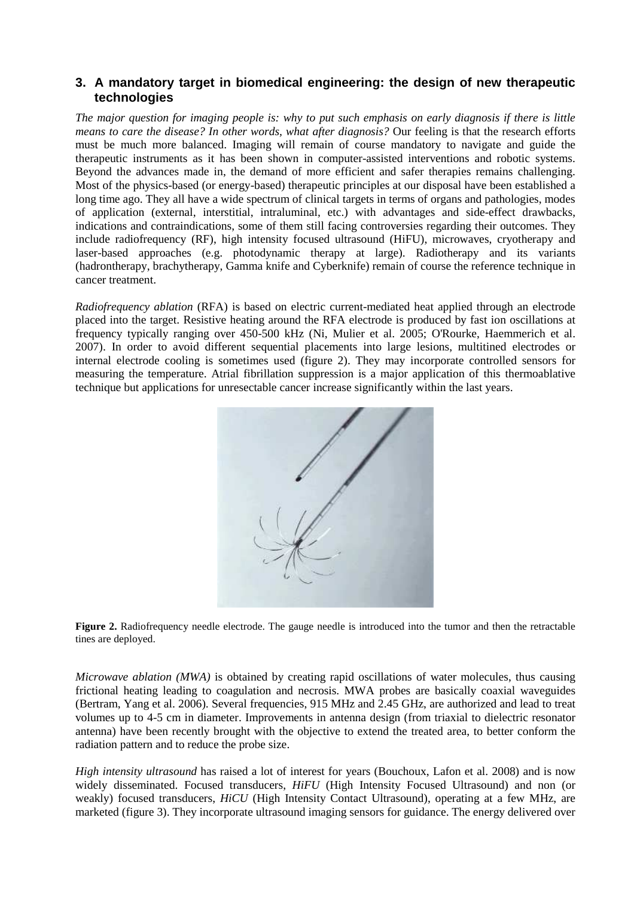### **3. A mandatory target in biomedical engineering: the design of new therapeutic technologies**

*The major question for imaging people is: why to put such emphasis on early diagnosis if there is little means to care the disease? In other words, what after diagnosis?* Our feeling is that the research efforts must be much more balanced. Imaging will remain of course mandatory to navigate and guide the therapeutic instruments as it has been shown in computer-assisted interventions and robotic systems. Beyond the advances made in, the demand of more efficient and safer therapies remains challenging. Most of the physics-based (or energy-based) therapeutic principles at our disposal have been established a long time ago. They all have a wide spectrum of clinical targets in terms of organs and pathologies, modes of application (external, interstitial, intraluminal, etc.) with advantages and side-effect drawbacks, indications and contraindications, some of them still facing controversies regarding their outcomes. They include radiofrequency (RF), high intensity focused ultrasound (HiFU), microwaves, cryotherapy and laser-based approaches (e.g. photodynamic therapy at large). Radiotherapy and its variants (hadrontherapy, brachytherapy, Gamma knife and Cyberknife) remain of course the reference technique in cancer treatment.

*Radiofrequency ablation* (RFA) is based on electric current-mediated heat applied through an electrode placed into the target. Resistive heating around the RFA electrode is produced by fast ion oscillations at frequency typically ranging over 450-500 kHz (Ni, Mulier et al. 2005; O'Rourke, Haemmerich et al. 2007). In order to avoid different sequential placements into large lesions, multitined electrodes or internal electrode cooling is sometimes used (figure 2). They may incorporate controlled sensors for measuring the temperature. Atrial fibrillation suppression is a major application of this thermoablative technique but applications for unresectable cancer increase significantly within the last years.



**Figure 2.** Radiofrequency needle electrode. The gauge needle is introduced into the tumor and then the retractable tines are deployed.

*Microwave ablation (MWA)* is obtained by creating rapid oscillations of water molecules, thus causing frictional heating leading to coagulation and necrosis. MWA probes are basically coaxial waveguides (Bertram, Yang et al. 2006). Several frequencies, 915 MHz and 2.45 GHz, are authorized and lead to treat volumes up to 4-5 cm in diameter. Improvements in antenna design (from triaxial to dielectric resonator antenna) have been recently brought with the objective to extend the treated area, to better conform the radiation pattern and to reduce the probe size.

*High intensity ultrasound* has raised a lot of interest for years (Bouchoux, Lafon et al. 2008) and is now widely disseminated. Focused transducers, *HiFU* (High Intensity Focused Ultrasound) and non (or weakly) focused transducers, *HiCU* (High Intensity Contact Ultrasound), operating at a few MHz, are marketed (figure 3). They incorporate ultrasound imaging sensors for guidance. The energy delivered over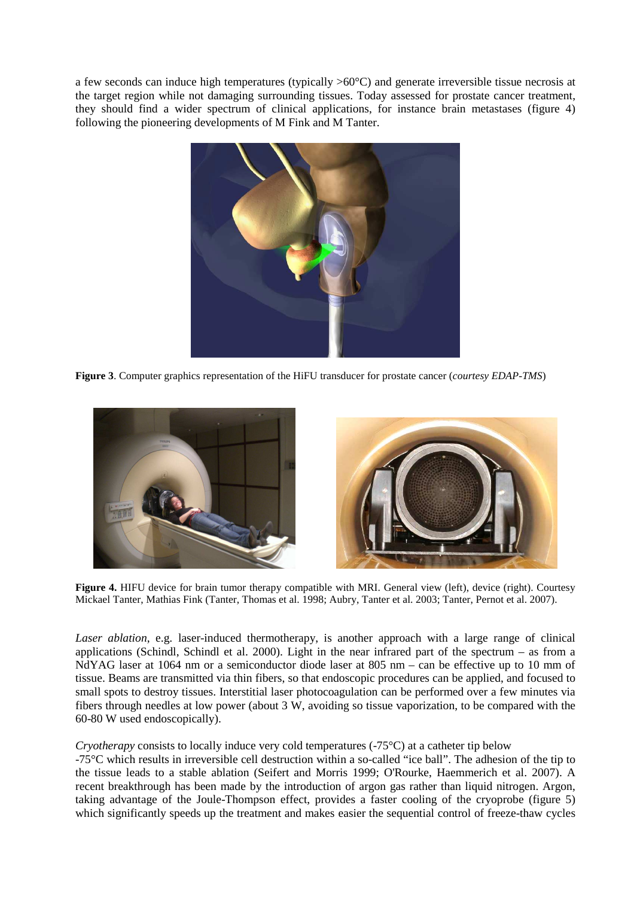a few seconds can induce high temperatures (typically >60°C) and generate irreversible tissue necrosis at the target region while not damaging surrounding tissues. Today assessed for prostate cancer treatment, they should find a wider spectrum of clinical applications, for instance brain metastases (figure 4) following the pioneering developments of M Fink and M Tanter.



**Figure 3**. Computer graphics representation of the HiFU transducer for prostate cancer (*courtesy EDAP-TMS*)



**Figure 4.** HIFU device for brain tumor therapy compatible with MRI. General view (left), device (right). Courtesy Mickael Tanter, Mathias Fink (Tanter, Thomas et al. 1998; Aubry, Tanter et al. 2003; Tanter, Pernot et al. 2007).

*Laser ablation*, e.g. laser-induced thermotherapy, is another approach with a large range of clinical applications (Schindl, Schindl et al. 2000). Light in the near infrared part of the spectrum – as from a NdYAG laser at 1064 nm or a semiconductor diode laser at 805 nm – can be effective up to 10 mm of tissue. Beams are transmitted via thin fibers, so that endoscopic procedures can be applied, and focused to small spots to destroy tissues. Interstitial laser photocoagulation can be performed over a few minutes via fibers through needles at low power (about 3 W, avoiding so tissue vaporization, to be compared with the 60-80 W used endoscopically).

#### *Cryotherapy* consists to locally induce very cold temperatures (-75<sup>o</sup>C) at a catheter tip below

-75°C which results in irreversible cell destruction within a so-called "ice ball". The adhesion of the tip to the tissue leads to a stable ablation (Seifert and Morris 1999; O'Rourke, Haemmerich et al. 2007). A recent breakthrough has been made by the introduction of argon gas rather than liquid nitrogen. Argon, taking advantage of the Joule-Thompson effect, provides a faster cooling of the cryoprobe (figure 5) which significantly speeds up the treatment and makes easier the sequential control of freeze-thaw cycles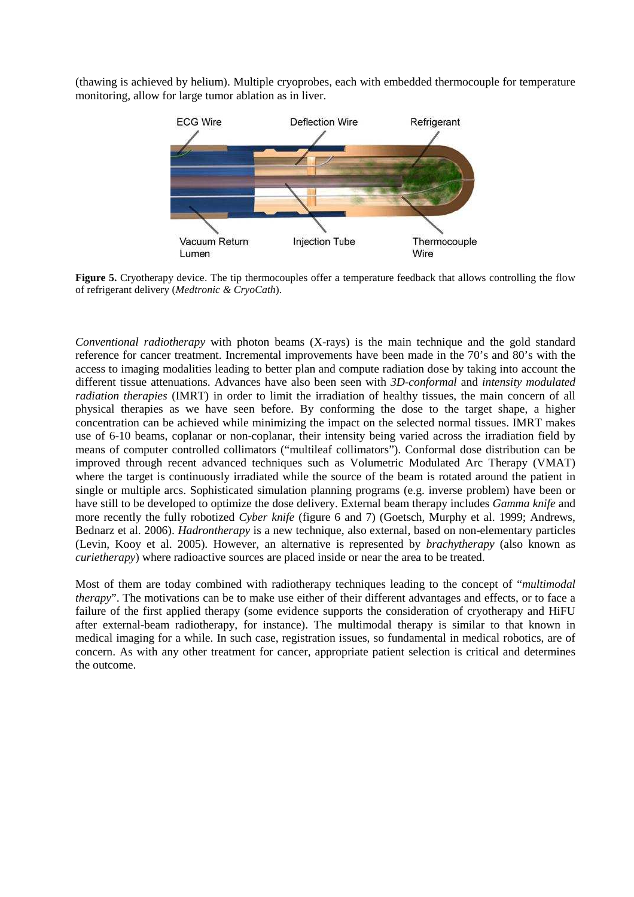(thawing is achieved by helium). Multiple cryoprobes, each with embedded thermocouple for temperature monitoring, allow for large tumor ablation as in liver.



**Figure 5.** Cryotherapy device. The tip thermocouples offer a temperature feedback that allows controlling the flow of refrigerant delivery (*Medtronic & CryoCath*).

*Conventional radiotherapy* with photon beams (X-rays) is the main technique and the gold standard reference for cancer treatment. Incremental improvements have been made in the 70's and 80's with the access to imaging modalities leading to better plan and compute radiation dose by taking into account the different tissue attenuations. Advances have also been seen with *3D-conformal* and *intensity modulated radiation therapies* (IMRT) in order to limit the irradiation of healthy tissues, the main concern of all physical therapies as we have seen before. By conforming the dose to the target shape, a higher concentration can be achieved while minimizing the impact on the selected normal tissues. IMRT makes use of 6-10 beams, coplanar or non-coplanar, their intensity being varied across the irradiation field by means of computer controlled collimators ("multileaf collimators"). Conformal dose distribution can be improved through recent advanced techniques such as Volumetric Modulated Arc Therapy (VMAT) where the target is continuously irradiated while the source of the beam is rotated around the patient in single or multiple arcs. Sophisticated simulation planning programs (e.g. inverse problem) have been or have still to be developed to optimize the dose delivery. External beam therapy includes *Gamma knife* and more recently the fully robotized *Cyber knife* (figure 6 and 7) (Goetsch, Murphy et al. 1999; Andrews, Bednarz et al. 2006). *Hadrontherapy* is a new technique, also external, based on non-elementary particles (Levin, Kooy et al. 2005). However, an alternative is represented by *brachytherapy* (also known as *curietherapy*) where radioactive sources are placed inside or near the area to be treated.

Most of them are today combined with radiotherapy techniques leading to the concept of "*multimodal therapy*". The motivations can be to make use either of their different advantages and effects, or to face a failure of the first applied therapy (some evidence supports the consideration of cryotherapy and HiFU after external-beam radiotherapy, for instance). The multimodal therapy is similar to that known in medical imaging for a while. In such case, registration issues, so fundamental in medical robotics, are of concern. As with any other treatment for cancer, appropriate patient selection is critical and determines the outcome.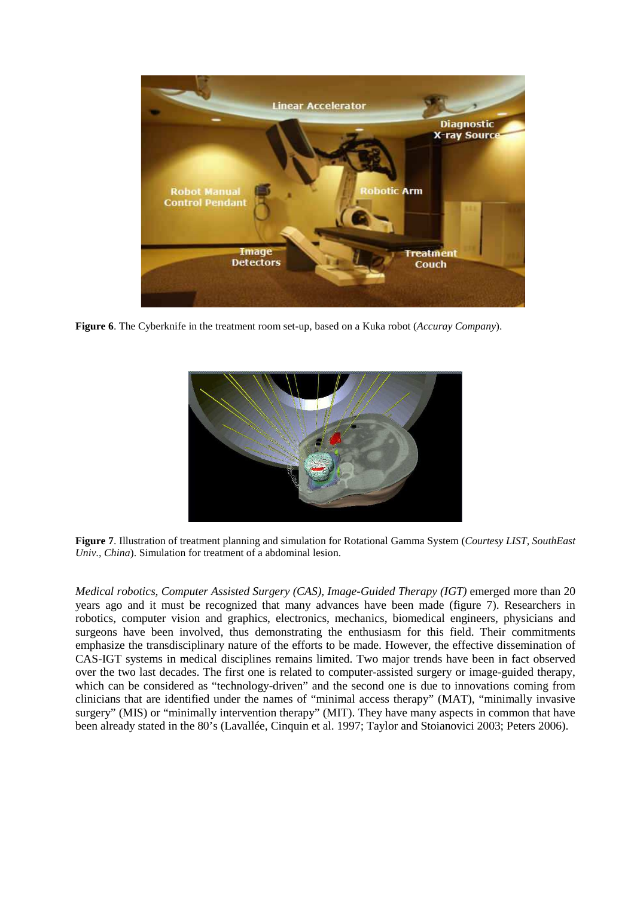

**Figure 6**. The Cyberknife in the treatment room set-up, based on a Kuka robot (*Accuray Company*).



**Figure 7**. Illustration of treatment planning and simulation for Rotational Gamma System (*Courtesy LIST, SouthEast Univ., China*). Simulation for treatment of a abdominal lesion.

*Medical robotics, Computer Assisted Surgery (CAS), Image-Guided Therapy (IGT)* emerged more than 20 years ago and it must be recognized that many advances have been made (figure 7). Researchers in robotics, computer vision and graphics, electronics, mechanics, biomedical engineers, physicians and surgeons have been involved, thus demonstrating the enthusiasm for this field. Their commitments emphasize the transdisciplinary nature of the efforts to be made. However, the effective dissemination of CAS-IGT systems in medical disciplines remains limited. Two major trends have been in fact observed over the two last decades. The first one is related to computer-assisted surgery or image-guided therapy, which can be considered as "technology-driven" and the second one is due to innovations coming from clinicians that are identified under the names of "minimal access therapy" (MAT), "minimally invasive surgery" (MIS) or "minimally intervention therapy" (MIT). They have many aspects in common that have been already stated in the 80's (Lavallée, Cinquin et al. 1997; Taylor and Stoianovici 2003; Peters 2006).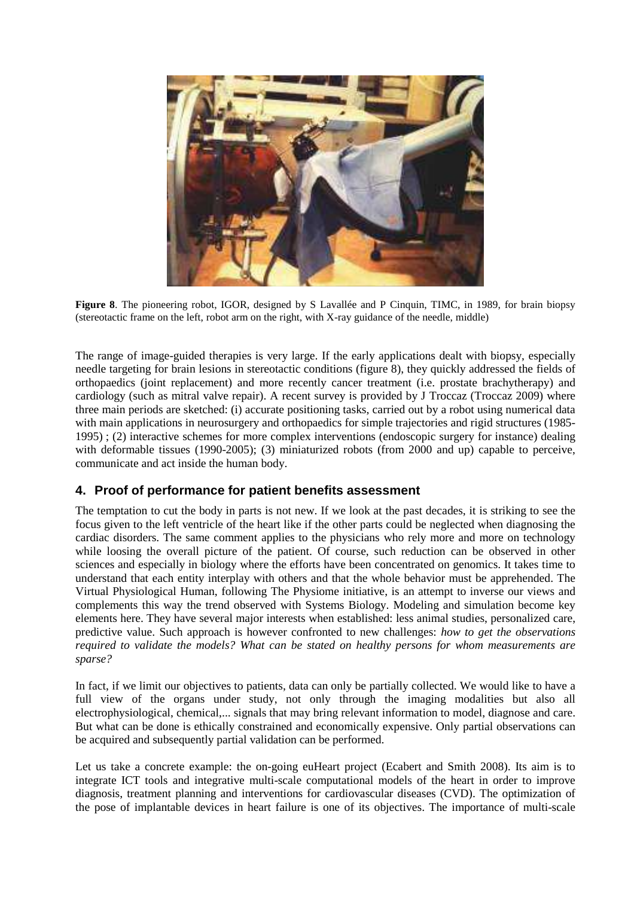

**Figure 8**. The pioneering robot, IGOR, designed by S Lavallée and P Cinquin, TIMC, in 1989, for brain biopsy (stereotactic frame on the left, robot arm on the right, with X-ray guidance of the needle, middle)

The range of image-guided therapies is very large. If the early applications dealt with biopsy, especially needle targeting for brain lesions in stereotactic conditions (figure 8), they quickly addressed the fields of orthopaedics (joint replacement) and more recently cancer treatment (i.e. prostate brachytherapy) and cardiology (such as mitral valve repair). A recent survey is provided by J Troccaz (Troccaz 2009) where three main periods are sketched: (i) accurate positioning tasks, carried out by a robot using numerical data with main applications in neurosurgery and orthopaedics for simple trajectories and rigid structures (1985-1995) ; (2) interactive schemes for more complex interventions (endoscopic surgery for instance) dealing with deformable tissues (1990-2005); (3) miniaturized robots (from 2000 and up) capable to perceive, communicate and act inside the human body.

## **4. Proof of performance for patient benefits assessment**

The temptation to cut the body in parts is not new. If we look at the past decades, it is striking to see the focus given to the left ventricle of the heart like if the other parts could be neglected when diagnosing the cardiac disorders. The same comment applies to the physicians who rely more and more on technology while loosing the overall picture of the patient. Of course, such reduction can be observed in other sciences and especially in biology where the efforts have been concentrated on genomics. It takes time to understand that each entity interplay with others and that the whole behavior must be apprehended. The Virtual Physiological Human, following The Physiome initiative, is an attempt to inverse our views and complements this way the trend observed with Systems Biology. Modeling and simulation become key elements here. They have several major interests when established: less animal studies, personalized care, predictive value. Such approach is however confronted to new challenges: *how to get the observations required to validate the models? What can be stated on healthy persons for whom measurements are sparse?* 

In fact, if we limit our objectives to patients, data can only be partially collected. We would like to have a full view of the organs under study, not only through the imaging modalities but also all electrophysiological, chemical,... signals that may bring relevant information to model, diagnose and care. But what can be done is ethically constrained and economically expensive. Only partial observations can be acquired and subsequently partial validation can be performed.

Let us take a concrete example: the on-going euHeart project (Ecabert and Smith 2008). Its aim is to integrate ICT tools and integrative multi-scale computational models of the heart in order to improve diagnosis, treatment planning and interventions for cardiovascular diseases (CVD). The optimization of the pose of implantable devices in heart failure is one of its objectives. The importance of multi-scale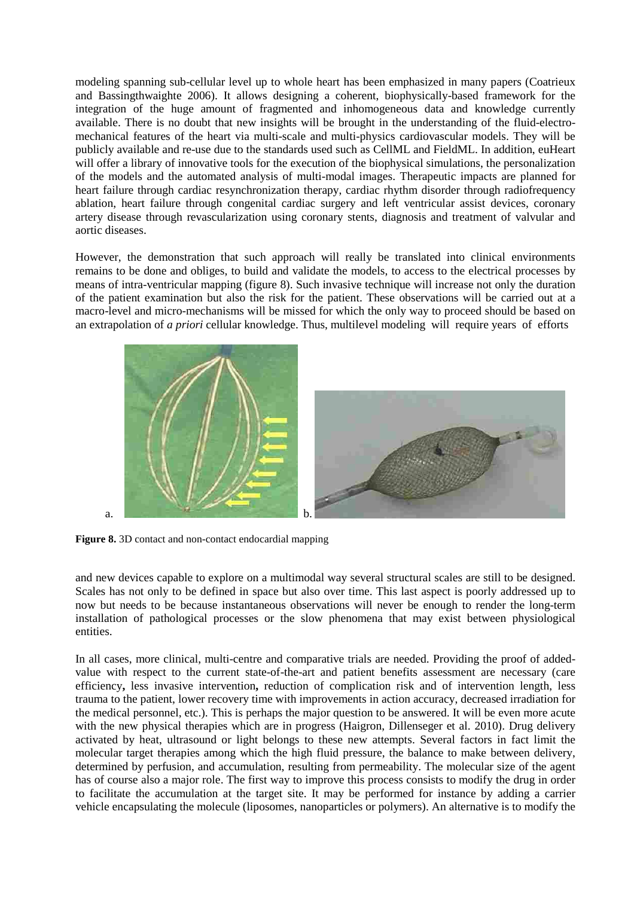modeling spanning sub-cellular level up to whole heart has been emphasized in many papers (Coatrieux and Bassingthwaighte 2006). It allows designing a coherent, biophysically-based framework for the integration of the huge amount of fragmented and inhomogeneous data and knowledge currently available. There is no doubt that new insights will be brought in the understanding of the fluid-electromechanical features of the heart via multi-scale and multi-physics cardiovascular models. They will be publicly available and re-use due to the standards used such as CellML and FieldML. In addition, euHeart will offer a library of innovative tools for the execution of the biophysical simulations, the personalization of the models and the automated analysis of multi-modal images. Therapeutic impacts are planned for heart failure through cardiac resynchronization therapy, cardiac rhythm disorder through radiofrequency ablation, heart failure through congenital cardiac surgery and left ventricular assist devices, coronary artery disease through revascularization using coronary stents, diagnosis and treatment of valvular and aortic diseases.

However, the demonstration that such approach will really be translated into clinical environments remains to be done and obliges, to build and validate the models, to access to the electrical processes by means of intra-ventricular mapping (figure 8). Such invasive technique will increase not only the duration of the patient examination but also the risk for the patient. These observations will be carried out at a macro-level and micro-mechanisms will be missed for which the only way to proceed should be based on an extrapolation of *a priori* cellular knowledge. Thus, multilevel modeling will require years of efforts



**Figure 8.** 3D contact and non-contact endocardial mapping

and new devices capable to explore on a multimodal way several structural scales are still to be designed. Scales has not only to be defined in space but also over time. This last aspect is poorly addressed up to now but needs to be because instantaneous observations will never be enough to render the long-term installation of pathological processes or the slow phenomena that may exist between physiological entities.

In all cases, more clinical, multi-centre and comparative trials are needed. Providing the proof of addedvalue with respect to the current state-of-the-art and patient benefits assessment are necessary (care efficiency**,** less invasive intervention**,** reduction of complication risk and of intervention length, less trauma to the patient, lower recovery time with improvements in action accuracy, decreased irradiation for the medical personnel, etc.). This is perhaps the major question to be answered. It will be even more acute with the new physical therapies which are in progress (Haigron, Dillenseger et al. 2010). Drug delivery activated by heat, ultrasound or light belongs to these new attempts. Several factors in fact limit the molecular target therapies among which the high fluid pressure, the balance to make between delivery, determined by perfusion, and accumulation, resulting from permeability. The molecular size of the agent has of course also a major role. The first way to improve this process consists to modify the drug in order to facilitate the accumulation at the target site. It may be performed for instance by adding a carrier vehicle encapsulating the molecule (liposomes, nanoparticles or polymers). An alternative is to modify the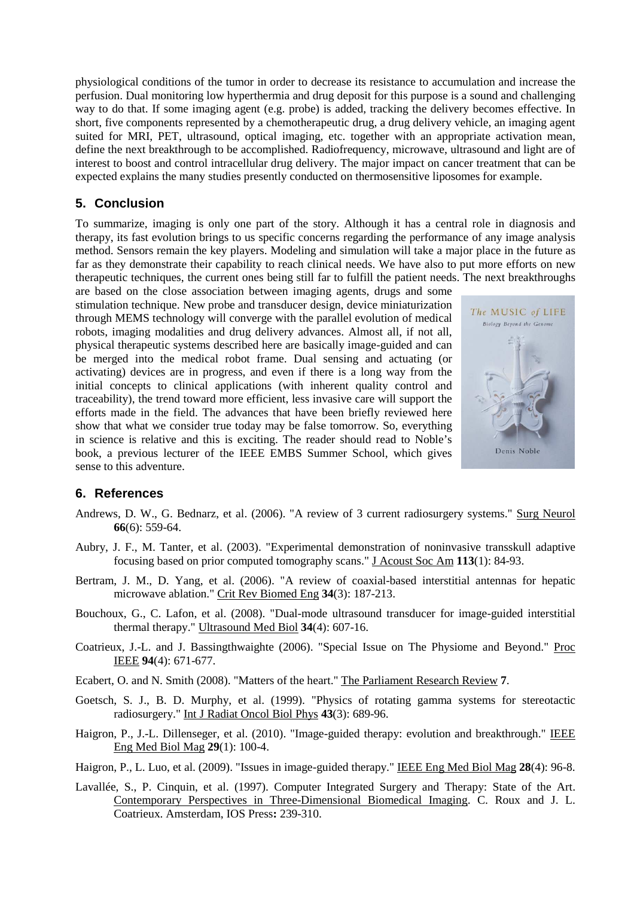physiological conditions of the tumor in order to decrease its resistance to accumulation and increase the perfusion. Dual monitoring low hyperthermia and drug deposit for this purpose is a sound and challenging way to do that. If some imaging agent (e.g. probe) is added, tracking the delivery becomes effective. In short, five components represented by a chemotherapeutic drug, a drug delivery vehicle, an imaging agent suited for MRI, PET, ultrasound, optical imaging, etc. together with an appropriate activation mean, define the next breakthrough to be accomplished. Radiofrequency, microwave, ultrasound and light are of interest to boost and control intracellular drug delivery. The major impact on cancer treatment that can be expected explains the many studies presently conducted on thermosensitive liposomes for example.

## **5. Conclusion**

To summarize, imaging is only one part of the story. Although it has a central role in diagnosis and therapy, its fast evolution brings to us specific concerns regarding the performance of any image analysis method. Sensors remain the key players. Modeling and simulation will take a major place in the future as far as they demonstrate their capability to reach clinical needs. We have also to put more efforts on new therapeutic techniques, the current ones being still far to fulfill the patient needs. The next breakthroughs

are based on the close association between imaging agents, drugs and some stimulation technique. New probe and transducer design, device miniaturization through MEMS technology will converge with the parallel evolution of medical robots, imaging modalities and drug delivery advances. Almost all, if not all, physical therapeutic systems described here are basically image-guided and can be merged into the medical robot frame. Dual sensing and actuating (or activating) devices are in progress, and even if there is a long way from the initial concepts to clinical applications (with inherent quality control and traceability), the trend toward more efficient, less invasive care will support the efforts made in the field. The advances that have been briefly reviewed here show that what we consider true today may be false tomorrow. So, everything in science is relative and this is exciting. The reader should read to Noble's book, a previous lecturer of the IEEE EMBS Summer School, which gives sense to this adventure.



#### **6. References**

- Andrews, D. W., G. Bednarz, et al. (2006). "A review of 3 current radiosurgery systems." Surg Neurol **66**(6): 559-64.
- Aubry, J. F., M. Tanter, et al. (2003). "Experimental demonstration of noninvasive transskull adaptive focusing based on prior computed tomography scans." J Acoust Soc Am **113**(1): 84-93.
- Bertram, J. M., D. Yang, et al. (2006). "A review of coaxial-based interstitial antennas for hepatic microwave ablation." Crit Rev Biomed Eng **34**(3): 187-213.
- Bouchoux, G., C. Lafon, et al. (2008). "Dual-mode ultrasound transducer for image-guided interstitial thermal therapy." Ultrasound Med Biol **34**(4): 607-16.
- Coatrieux, J.-L. and J. Bassingthwaighte (2006). "Special Issue on The Physiome and Beyond." Proc IEEE **94**(4): 671-677.
- Ecabert, O. and N. Smith (2008). "Matters of the heart." The Parliament Research Review **7**.
- Goetsch, S. J., B. D. Murphy, et al. (1999). "Physics of rotating gamma systems for stereotactic radiosurgery." Int J Radiat Oncol Biol Phys **43**(3): 689-96.
- Haigron, P., J.-L. Dillenseger, et al. (2010). "Image-guided therapy: evolution and breakthrough." IEEE Eng Med Biol Mag **29**(1): 100-4.
- Haigron, P., L. Luo, et al. (2009). "Issues in image-guided therapy." IEEE Eng Med Biol Mag **28**(4): 96-8.
- Lavallée, S., P. Cinquin, et al. (1997). Computer Integrated Surgery and Therapy: State of the Art. Contemporary Perspectives in Three-Dimensional Biomedical Imaging. C. Roux and J. L. Coatrieux. Amsterdam, IOS Press**:** 239-310.